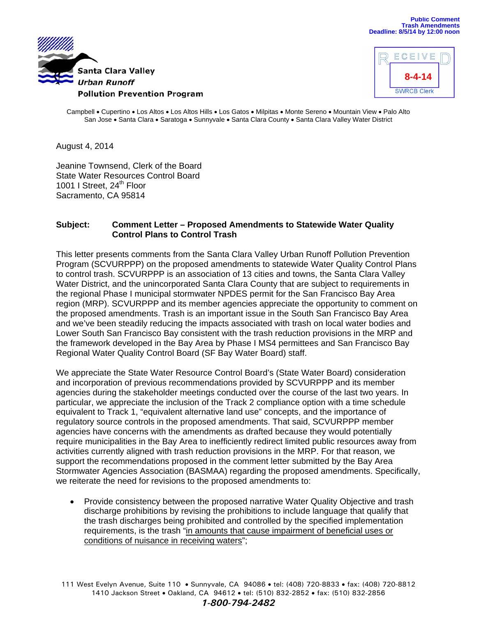



Campbell • Cupertino • Los Altos • Los Altos Hills • Los Gatos • Milpitas • Monte Sereno • Mountain View • Palo Alto San Jose . Santa Clara . Saratoga . Sunnyvale . Santa Clara County . Santa Clara Valley Water District

August 4, 2014

Jeanine Townsend, Clerk of the Board State Water Resources Control Board 1001 I Street, 24<sup>th</sup> Floor Sacramento, CA 95814

## **Subject: Comment Letter – Proposed Amendments to Statewide Water Quality Control Plans to Control Trash**

This letter presents comments from the Santa Clara Valley Urban Runoff Pollution Prevention Program (SCVURPPP) on the proposed amendments to statewide Water Quality Control Plans to control trash. SCVURPPP is an association of 13 cities and towns, the Santa Clara Valley Water District, and the unincorporated Santa Clara County that are subject to requirements in the regional Phase I municipal stormwater NPDES permit for the San Francisco Bay Area region (MRP). SCVURPPP and its member agencies appreciate the opportunity to comment on the proposed amendments. Trash is an important issue in the South San Francisco Bay Area and we've been steadily reducing the impacts associated with trash on local water bodies and Lower South San Francisco Bay consistent with the trash reduction provisions in the MRP and the framework developed in the Bay Area by Phase I MS4 permittees and San Francisco Bay Regional Water Quality Control Board (SF Bay Water Board) staff.

We appreciate the State Water Resource Control Board's (State Water Board) consideration and incorporation of previous recommendations provided by SCVURPPP and its member agencies during the stakeholder meetings conducted over the course of the last two years. In particular, we appreciate the inclusion of the Track 2 compliance option with a time schedule equivalent to Track 1, "equivalent alternative land use" concepts, and the importance of regulatory source controls in the proposed amendments. That said, SCVURPPP member agencies have concerns with the amendments as drafted because they would potentially require municipalities in the Bay Area to inefficiently redirect limited public resources away from activities currently aligned with trash reduction provisions in the MRP. For that reason, we support the recommendations proposed in the comment letter submitted by the Bay Area Stormwater Agencies Association (BASMAA) regarding the proposed amendments. Specifically, we reiterate the need for revisions to the proposed amendments to:

 Provide consistency between the proposed narrative Water Quality Objective and trash discharge prohibitions by revising the prohibitions to include language that qualify that the trash discharges being prohibited and controlled by the specified implementation requirements, is the trash "in amounts that cause impairment of beneficial uses or conditions of nuisance in receiving waters";

111 West Evelyn Avenue, Suite 110 • Sunnyvale, CA 94086 • tel: (408) 720-8833 • fax: (408) 720-8812 1410 Jackson Street • Oakland, CA 94612 • tel: (510) 832-2852 • fax: (510) 832-2856

## *1-800-794-2482*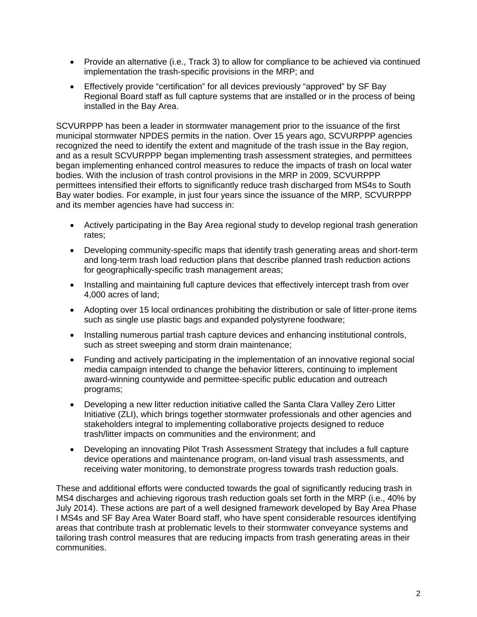- Provide an alternative (i.e., Track 3) to allow for compliance to be achieved via continued implementation the trash-specific provisions in the MRP; and
- Effectively provide "certification" for all devices previously "approved" by SF Bay Regional Board staff as full capture systems that are installed or in the process of being installed in the Bay Area.

SCVURPPP has been a leader in stormwater management prior to the issuance of the first municipal stormwater NPDES permits in the nation. Over 15 years ago, SCVURPPP agencies recognized the need to identify the extent and magnitude of the trash issue in the Bay region, and as a result SCVURPPP began implementing trash assessment strategies, and permittees began implementing enhanced control measures to reduce the impacts of trash on local water bodies. With the inclusion of trash control provisions in the MRP in 2009, SCVURPPP permittees intensified their efforts to significantly reduce trash discharged from MS4s to South Bay water bodies. For example, in just four years since the issuance of the MRP, SCVURPPP and its member agencies have had success in:

- Actively participating in the Bay Area regional study to develop regional trash generation rates;
- Developing community-specific maps that identify trash generating areas and short-term and long-term trash load reduction plans that describe planned trash reduction actions for geographically-specific trash management areas;
- Installing and maintaining full capture devices that effectively intercept trash from over 4,000 acres of land;
- Adopting over 15 local ordinances prohibiting the distribution or sale of litter-prone items such as single use plastic bags and expanded polystyrene foodware;
- Installing numerous partial trash capture devices and enhancing institutional controls, such as street sweeping and storm drain maintenance;
- Funding and actively participating in the implementation of an innovative regional social media campaign intended to change the behavior litterers, continuing to implement award-winning countywide and permittee-specific public education and outreach programs;
- Developing a new litter reduction initiative called the Santa Clara Valley Zero Litter Initiative (ZLI), which brings together stormwater professionals and other agencies and stakeholders integral to implementing collaborative projects designed to reduce trash/litter impacts on communities and the environment; and
- Developing an innovating Pilot Trash Assessment Strategy that includes a full capture device operations and maintenance program, on-land visual trash assessments, and receiving water monitoring, to demonstrate progress towards trash reduction goals.

These and additional efforts were conducted towards the goal of significantly reducing trash in MS4 discharges and achieving rigorous trash reduction goals set forth in the MRP (i.e., 40% by July 2014). These actions are part of a well designed framework developed by Bay Area Phase I MS4s and SF Bay Area Water Board staff, who have spent considerable resources identifying areas that contribute trash at problematic levels to their stormwater conveyance systems and tailoring trash control measures that are reducing impacts from trash generating areas in their communities.